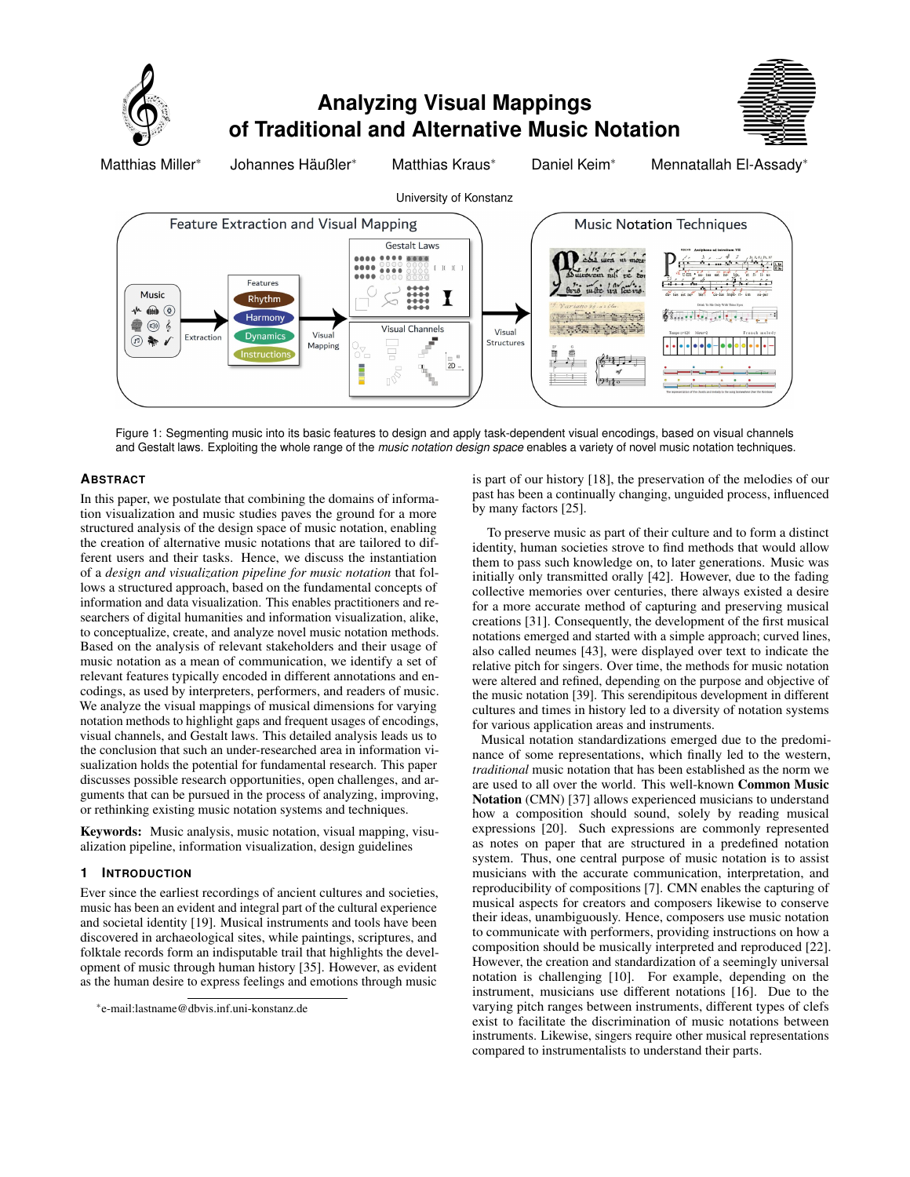

Figure 1: Segmenting music into its basic features to design and apply task-dependent visual encodings, based on visual channels and Gestalt laws. Exploiting the whole range of the *music notation design space* enables a variety of novel music notation techniques.

# **ABSTRACT**

In this paper, we postulate that combining the domains of information visualization and music studies paves the ground for a more structured analysis of the design space of music notation, enabling the creation of alternative music notations that are tailored to different users and their tasks. Hence, we discuss the instantiation of a *design and visualization pipeline for music notation* that follows a structured approach, based on the fundamental concepts of information and data visualization. This enables practitioners and researchers of digital humanities and information visualization, alike, to conceptualize, create, and analyze novel music notation methods. Based on the analysis of relevant stakeholders and their usage of music notation as a mean of communication, we identify a set of relevant features typically encoded in different annotations and encodings, as used by interpreters, performers, and readers of music. We analyze the visual mappings of musical dimensions for varying notation methods to highlight gaps and frequent usages of encodings, visual channels, and Gestalt laws. This detailed analysis leads us to the conclusion that such an under-researched area in information visualization holds the potential for fundamental research. This paper discusses possible research opportunities, open challenges, and arguments that can be pursued in the process of analyzing, improving, or rethinking existing music notation systems and techniques.

Keywords: Music analysis, music notation, visual mapping, visualization pipeline, information visualization, design guidelines

#### **1 INTRODUCTION**

Ever since the earliest recordings of ancient cultures and societies, music has been an evident and integral part of the cultural experience and societal identity [\[19\]](#page-4-0). Musical instruments and tools have been discovered in archaeological sites, while paintings, scriptures, and folktale records form an indisputable trail that highlights the development of music through human history [\[35\]](#page-4-1). However, as evident as the human desire to express feelings and emotions through music

\*e-mail:lastname@dbvis.inf.uni-konstanz.de

is part of our history [\[18\]](#page-4-2), the preservation of the melodies of our past has been a continually changing, unguided process, influenced by many factors [\[25\]](#page-4-3).

 $9.110$ 

To preserve music as part of their culture and to form a distinct identity, human societies strove to find methods that would allow them to pass such knowledge on, to later generations. Music was initially only transmitted orally [\[42\]](#page-4-4). However, due to the fading collective memories over centuries, there always existed a desire for a more accurate method of capturing and preserving musical creations [\[31\]](#page-4-5). Consequently, the development of the first musical notations emerged and started with a simple approach; curved lines, also called neumes [\[43\]](#page-4-6), were displayed over text to indicate the relative pitch for singers. Over time, the methods for music notation were altered and refined, depending on the purpose and objective of the music notation [\[39\]](#page-4-7). This serendipitous development in different cultures and times in history led to a diversity of notation systems for various application areas and instruments.

Musical notation standardizations emerged due to the predominance of some representations, which finally led to the western, *traditional* music notation that has been established as the norm we are used to all over the world. This well-known Common Music Notation (CMN) [\[37\]](#page-4-8) allows experienced musicians to understand how a composition should sound, solely by reading musical expressions [\[20\]](#page-4-9). Such expressions are commonly represented as notes on paper that are structured in a predefined notation system. Thus, one central purpose of music notation is to assist musicians with the accurate communication, interpretation, and reproducibility of compositions [\[7\]](#page-4-10). CMN enables the capturing of musical aspects for creators and composers likewise to conserve their ideas, unambiguously. Hence, composers use music notation to communicate with performers, providing instructions on how a composition should be musically interpreted and reproduced [\[22\]](#page-4-11). However, the creation and standardization of a seemingly universal notation is challenging [\[10\]](#page-4-12). For example, depending on the instrument, musicians use different notations [\[16\]](#page-4-13). Due to the varying pitch ranges between instruments, different types of clefs exist to facilitate the discrimination of music notations between instruments. Likewise, singers require other musical representations compared to instrumentalists to understand their parts.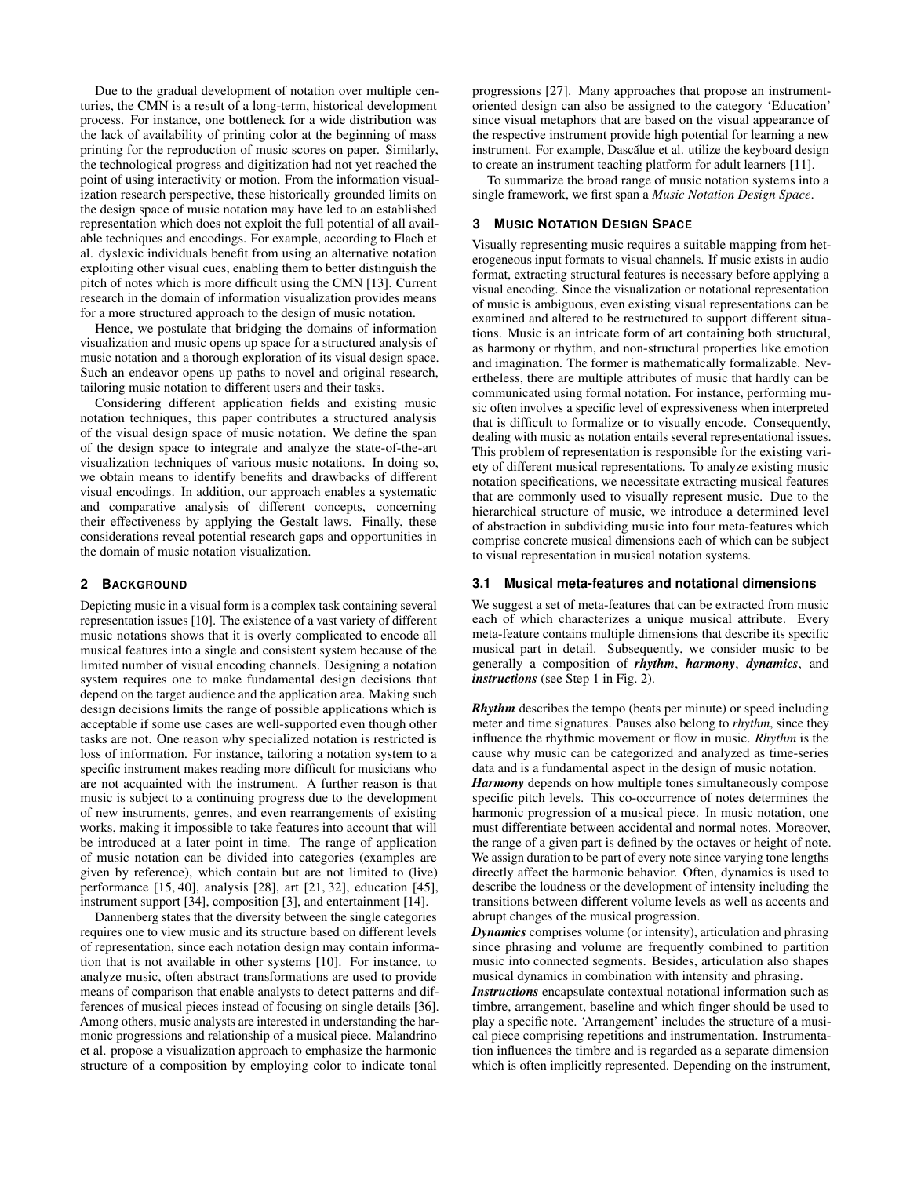Due to the gradual development of notation over multiple centuries, the CMN is a result of a long-term, historical development process. For instance, one bottleneck for a wide distribution was the lack of availability of printing color at the beginning of mass printing for the reproduction of music scores on paper. Similarly, the technological progress and digitization had not yet reached the point of using interactivity or motion. From the information visualization research perspective, these historically grounded limits on the design space of music notation may have led to an established representation which does not exploit the full potential of all available techniques and encodings. For example, according to Flach et al. dyslexic individuals benefit from using an alternative notation exploiting other visual cues, enabling them to better distinguish the pitch of notes which is more difficult using the CMN [\[13\]](#page-4-14). Current research in the domain of information visualization provides means for a more structured approach to the design of music notation.

Hence, we postulate that bridging the domains of information visualization and music opens up space for a structured analysis of music notation and a thorough exploration of its visual design space. Such an endeavor opens up paths to novel and original research, tailoring music notation to different users and their tasks.

Considering different application fields and existing music notation techniques, this paper contributes a structured analysis of the visual design space of music notation. We define the span of the design space to integrate and analyze the state-of-the-art visualization techniques of various music notations. In doing so, we obtain means to identify benefits and drawbacks of different visual encodings. In addition, our approach enables a systematic and comparative analysis of different concepts, concerning their effectiveness by applying the Gestalt laws. Finally, these considerations reveal potential research gaps and opportunities in the domain of music notation visualization.

#### **2 BACKGROUND**

Depicting music in a visual form is a complex task containing several representation issues [\[10\]](#page-4-12). The existence of a vast variety of different music notations shows that it is overly complicated to encode all musical features into a single and consistent system because of the limited number of visual encoding channels. Designing a notation system requires one to make fundamental design decisions that depend on the target audience and the application area. Making such design decisions limits the range of possible applications which is acceptable if some use cases are well-supported even though other tasks are not. One reason why specialized notation is restricted is loss of information. For instance, tailoring a notation system to a specific instrument makes reading more difficult for musicians who are not acquainted with the instrument. A further reason is that music is subject to a continuing progress due to the development of new instruments, genres, and even rearrangements of existing works, making it impossible to take features into account that will be introduced at a later point in time. The range of application of music notation can be divided into categories (examples are given by reference), which contain but are not limited to (live) performance [\[15,](#page-4-15) [40\]](#page-4-16), analysis [\[28\]](#page-4-17), art [\[21,](#page-4-18) [32\]](#page-4-19), education [\[45\]](#page-4-20), instrument support [\[34\]](#page-4-21), composition [\[3\]](#page-4-22), and entertainment [\[14\]](#page-4-23).

Dannenberg states that the diversity between the single categories requires one to view music and its structure based on different levels of representation, since each notation design may contain information that is not available in other systems [\[10\]](#page-4-12). For instance, to analyze music, often abstract transformations are used to provide means of comparison that enable analysts to detect patterns and differences of musical pieces instead of focusing on single details [\[36\]](#page-4-24). Among others, music analysts are interested in understanding the harmonic progressions and relationship of a musical piece. Malandrino et al. propose a visualization approach to emphasize the harmonic structure of a composition by employing color to indicate tonal

progressions [\[27\]](#page-4-25). Many approaches that propose an instrumentoriented design can also be assigned to the category 'Education' since visual metaphors that are based on the visual appearance of the respective instrument provide high potential for learning a new instrument. For example, Dascălue et al. utilize the keyboard design to create an instrument teaching platform for adult learners [\[11\]](#page-4-26).

To summarize the broad range of music notation systems into a single framework, we first span a *Music Notation Design Space*.

#### <span id="page-1-0"></span>**3 MUSIC NOTATION DESIGN SPACE**

Visually representing music requires a suitable mapping from heterogeneous input formats to visual channels. If music exists in audio format, extracting structural features is necessary before applying a visual encoding. Since the visualization or notational representation of music is ambiguous, even existing visual representations can be examined and altered to be restructured to support different situations. Music is an intricate form of art containing both structural, as harmony or rhythm, and non-structural properties like emotion and imagination. The former is mathematically formalizable. Nevertheless, there are multiple attributes of music that hardly can be communicated using formal notation. For instance, performing music often involves a specific level of expressiveness when interpreted that is difficult to formalize or to visually encode. Consequently, dealing with music as notation entails several representational issues. This problem of representation is responsible for the existing variety of different musical representations. To analyze existing music notation specifications, we necessitate extracting musical features that are commonly used to visually represent music. Due to the hierarchical structure of music, we introduce a determined level of abstraction in subdividing music into four meta-features which comprise concrete musical dimensions each of which can be subject to visual representation in musical notation systems.

#### <span id="page-1-1"></span>**3.1 Musical meta-features and notational dimensions**

We suggest a set of meta-features that can be extracted from music each of which characterizes a unique musical attribute. Every meta-feature contains multiple dimensions that describe its specific musical part in detail. Subsequently, we consider music to be generally a composition of *rhythm*, *harmony*, *dynamics*, and *instructions* (see Step 1 in [Fig. 2\)](#page-2-0).

*Rhythm* describes the tempo (beats per minute) or speed including meter and time signatures. Pauses also belong to *rhythm*, since they influence the rhythmic movement or flow in music. *Rhythm* is the cause why music can be categorized and analyzed as time-series data and is a fundamental aspect in the design of music notation.

*Harmony* depends on how multiple tones simultaneously compose specific pitch levels. This co-occurrence of notes determines the harmonic progression of a musical piece. In music notation, one must differentiate between accidental and normal notes. Moreover, the range of a given part is defined by the octaves or height of note. We assign duration to be part of every note since varying tone lengths directly affect the harmonic behavior. Often, dynamics is used to describe the loudness or the development of intensity including the transitions between different volume levels as well as accents and abrupt changes of the musical progression.

*Dynamics* comprises volume (or intensity), articulation and phrasing since phrasing and volume are frequently combined to partition music into connected segments. Besides, articulation also shapes musical dynamics in combination with intensity and phrasing.

*Instructions* encapsulate contextual notational information such as timbre, arrangement, baseline and which finger should be used to play a specific note. 'Arrangement' includes the structure of a musical piece comprising repetitions and instrumentation. Instrumentation influences the timbre and is regarded as a separate dimension which is often implicitly represented. Depending on the instrument,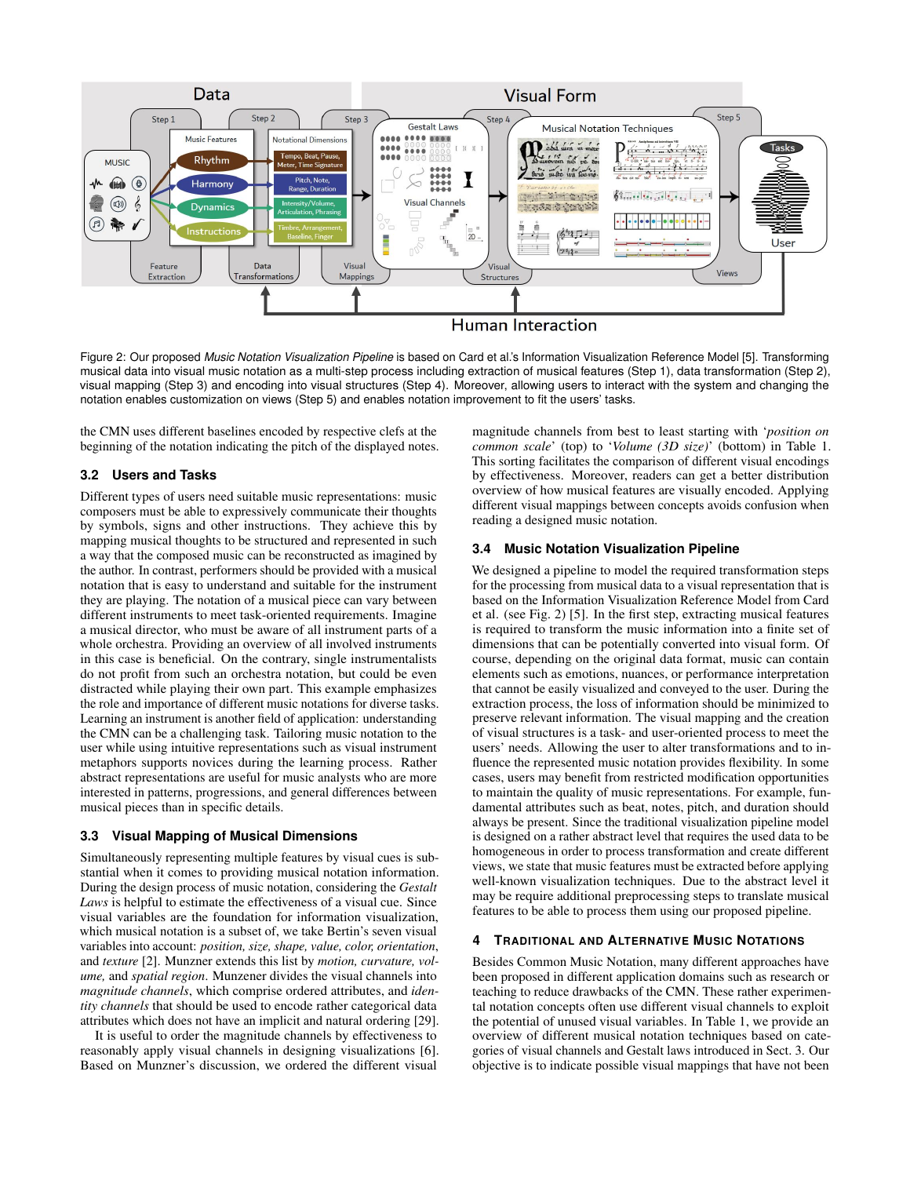

<span id="page-2-0"></span>Figure 2: Our proposed *Music Notation Visualization Pipeline* is based on Card et al.'s Information Visualization Reference Model [\[5\]](#page-4-27). Transforming musical data into visual music notation as a multi-step process including extraction of musical features (Step 1), data transformation (Step 2), visual mapping (Step 3) and encoding into visual structures (Step 4). Moreover, allowing users to interact with the system and changing the notation enables customization on views (Step 5) and enables notation improvement to fit the users' tasks.

the CMN uses different baselines encoded by respective clefs at the beginning of the notation indicating the pitch of the displayed notes.

## **3.2 Users and Tasks**

Different types of users need suitable music representations: music composers must be able to expressively communicate their thoughts by symbols, signs and other instructions. They achieve this by mapping musical thoughts to be structured and represented in such a way that the composed music can be reconstructed as imagined by the author. In contrast, performers should be provided with a musical notation that is easy to understand and suitable for the instrument they are playing. The notation of a musical piece can vary between different instruments to meet task-oriented requirements. Imagine a musical director, who must be aware of all instrument parts of a whole orchestra. Providing an overview of all involved instruments in this case is beneficial. On the contrary, single instrumentalists do not profit from such an orchestra notation, but could be even distracted while playing their own part. This example emphasizes the role and importance of different music notations for diverse tasks. Learning an instrument is another field of application: understanding the CMN can be a challenging task. Tailoring music notation to the user while using intuitive representations such as visual instrument metaphors supports novices during the learning process. Rather abstract representations are useful for music analysts who are more interested in patterns, progressions, and general differences between musical pieces than in specific details.

#### **3.3 Visual Mapping of Musical Dimensions**

Simultaneously representing multiple features by visual cues is substantial when it comes to providing musical notation information. During the design process of music notation, considering the *Gestalt Laws* is helpful to estimate the effectiveness of a visual cue. Since visual variables are the foundation for information visualization, which musical notation is a subset of, we take Bertin's seven visual variables into account: *position, size, shape, value, color, orientation*, and *texture* [\[2\]](#page-4-28). Munzner extends this list by *motion, curvature, volume,* and *spatial region*. Munzener divides the visual channels into *magnitude channels*, which comprise ordered attributes, and *identity channels* that should be used to encode rather categorical data attributes which does not have an implicit and natural ordering [\[29\]](#page-4-29).

It is useful to order the magnitude channels by effectiveness to reasonably apply visual channels in designing visualizations [\[6\]](#page-4-30). Based on Munzner's discussion, we ordered the different visual

magnitude channels from best to least starting with '*position on common scale*' (top) to '*Volume (3D size)*' (bottom) in [Table 1.](#page-3-0) This sorting facilitates the comparison of different visual encodings by effectiveness. Moreover, readers can get a better distribution overview of how musical features are visually encoded. Applying different visual mappings between concepts avoids confusion when reading a designed music notation.

### **3.4 Music Notation Visualization Pipeline**

We designed a pipeline to model the required transformation steps for the processing from musical data to a visual representation that is based on the Information Visualization Reference Model from Card et al. (see [Fig. 2\)](#page-2-0) [\[5\]](#page-4-27). In the first step, extracting musical features is required to transform the music information into a finite set of dimensions that can be potentially converted into visual form. Of course, depending on the original data format, music can contain elements such as emotions, nuances, or performance interpretation that cannot be easily visualized and conveyed to the user. During the extraction process, the loss of information should be minimized to preserve relevant information. The visual mapping and the creation of visual structures is a task- and user-oriented process to meet the users' needs. Allowing the user to alter transformations and to influence the represented music notation provides flexibility. In some cases, users may benefit from restricted modification opportunities to maintain the quality of music representations. For example, fundamental attributes such as beat, notes, pitch, and duration should always be present. Since the traditional visualization pipeline model is designed on a rather abstract level that requires the used data to be homogeneous in order to process transformation and create different views, we state that music features must be extracted before applying well-known visualization techniques. Due to the abstract level it may be require additional preprocessing steps to translate musical features to be able to process them using our proposed pipeline.

### **4 TRADITIONAL AND ALTERNATIVE MUSIC NOTATIONS**

Besides Common Music Notation, many different approaches have been proposed in different application domains such as research or teaching to reduce drawbacks of the CMN. These rather experimental notation concepts often use different visual channels to exploit the potential of unused visual variables. In [Table 1,](#page-3-0) we provide an overview of different musical notation techniques based on categories of visual channels and Gestalt laws introduced in [Sect. 3.](#page-1-0) Our objective is to indicate possible visual mappings that have not been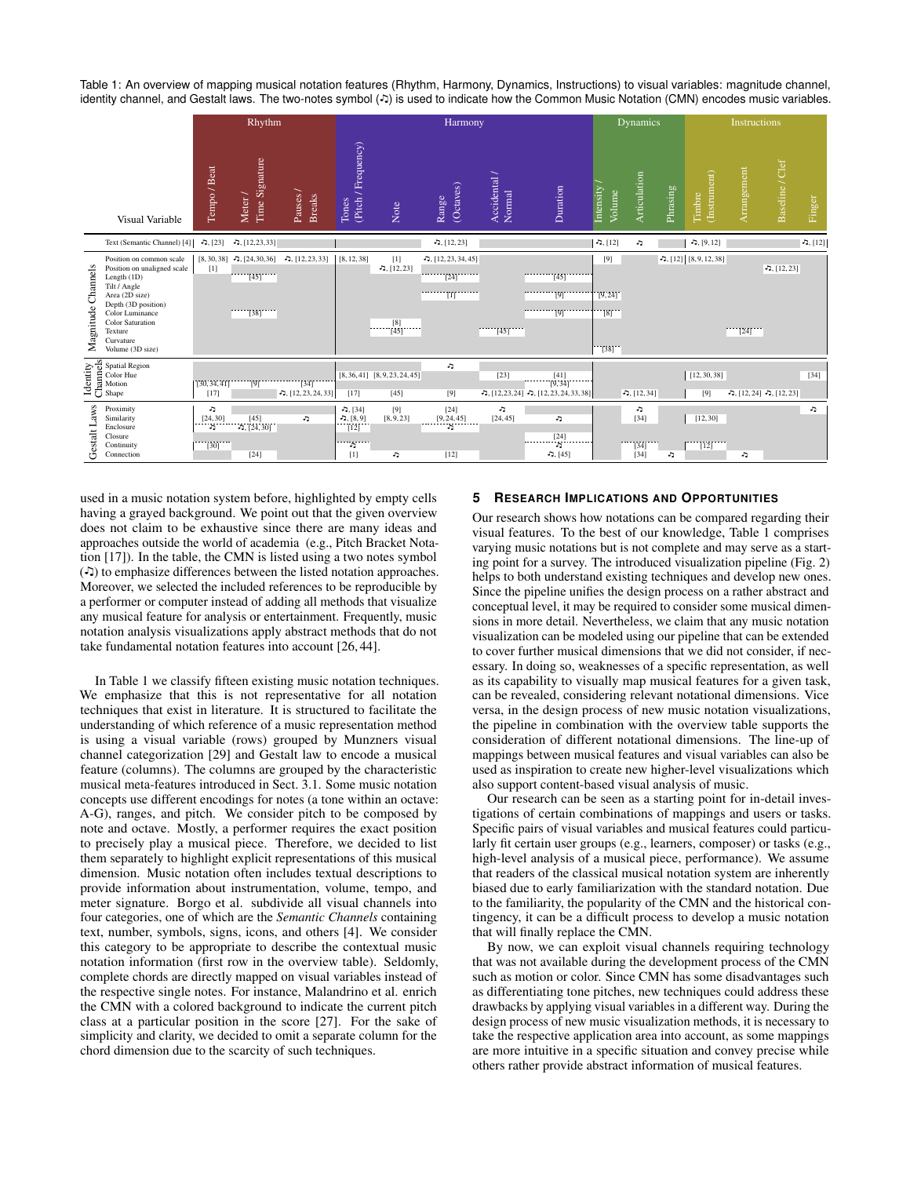<span id="page-3-0"></span>Table 1: An overview of mapping musical notation features (Rhythm, Harmony, Dynamics, Instructions) to visual variables: magnitude channel, identity channel, and Gestalt laws. The two-notes symbol (-) is used to indicate how the Common Music Notation (CMN) encodes music variables.

|                       |                                                                                                                                                                                                                           | Rhythm                                 |                                      |                                                 |                                                       | Harmony                                       |                                             |                        |                                                                     |                                                                          | Dynamics                              |          |                           | Instructions |                             |           |  |
|-----------------------|---------------------------------------------------------------------------------------------------------------------------------------------------------------------------------------------------------------------------|----------------------------------------|--------------------------------------|-------------------------------------------------|-------------------------------------------------------|-----------------------------------------------|---------------------------------------------|------------------------|---------------------------------------------------------------------|--------------------------------------------------------------------------|---------------------------------------|----------|---------------------------|--------------|-----------------------------|-----------|--|
|                       | Visual Variable                                                                                                                                                                                                           | Tempo / Beat                           | Time Signature<br>Meter /            | Pauses /<br><b>Breaks</b>                       | Tones<br>(Pitch / Frequency)                          | Note                                          | (Octaves)<br>Range                          | Accidental /<br>Normal | Duration                                                            | Intensity<br>Volume                                                      | Articulation                          | Phrasing | (Instrument)<br>Timbre    | Arrangement  | Baseline / Clef             | Finger    |  |
|                       | Text (Semantic Channel) [4]                                                                                                                                                                                               | $-5, [23]$                             | $-5, [12, 23, 33]$                   |                                                 |                                                       |                                               | $-5, [12, 23]$                              |                        |                                                                     | $-5, [12]$                                                               | J,                                    |          | $-5, [9, 12]$             |              |                             | ה. $[12]$ |  |
| Channels<br>Magnitude | Position on common scale<br>Position on unaligned scale<br>Length (1D)<br>Tilt / Angle<br>Area (2D size)<br>Depth (3D position)<br>Color Luminance<br><b>Color Saturation</b><br>Texture<br>Curvature<br>Volume (3D size) | $[1]$                                  | $\cdots$ [45] $\cdots$ ]<br>$[38]$   | $[8, 30, 38]$ , $[24, 30, 36]$ , $[12, 23, 33]$ | [8, 12, 38]                                           | $[1]$<br>$-5, [12, 23]$<br>$\frac{[8]}{[45]}$ | $-$ , [12, 23, 34, 45]<br>$[24]$<br>$\vert$ | [45]                   | $[45]$<br>[9]<br>$\overline{191}$                                   | [9]<br>[9, 24]<br>$\overline{[8]}$<br>$\begin{bmatrix} 38 \end{bmatrix}$ |                                       |          | $-5, [12]$ [8, 9, 12, 38] | [24]         | $-1, [12, 23]$              |           |  |
|                       | Figure Spatial Region<br>Elisa Color Hue<br>Del Motion<br>Del Shape<br>Shape                                                                                                                                              | [30, 34, 41]<br>[17]                   | [9]                                  | $[34]$<br>$\sqrt{2}$ , [12, 23, 24, 33]         | [17]                                                  | $[8, 36, 41]$ $[8, 9, 23, 24, 45]$<br>$[45]$  | J,<br>[9]                                   | $[23]$                 | $\frac{[41]}{[9,34]}$<br>ר, $[12, 23, 24]$ , $[12, 23, 24, 33, 38]$ |                                                                          | $-5, [12, 34]$                        |          | [12, 30, 38]<br>$[9]$     |              | $-5, [12, 24] -5, [12, 23]$ | $[34]$    |  |
| .aws<br>Gestalt L     | Proximity<br>Similarity<br>Enclosure<br>Closure<br>Continuity<br>Connection                                                                                                                                               | J,<br>[24, 30]<br>J,<br>$\frac{1}{20}$ | $\frac{[45]}{5, [24, 30]}$<br>$[24]$ | J,                                              | $-5, [34]$<br>$-5, [8, 9]$<br>[12]<br><br>J,<br>$[1]$ | [9]<br>[8, 9, 23]<br>J,                       | $[24]$<br>[9, 24, 45]<br>J,<br>$[12]$       | J,<br>[24, 45]         | J,<br>$\begin{bmatrix} 24 \\ 5 \end{bmatrix}$<br>$-5, [45]$         |                                                                          | c<br>$[34]$<br>$\frac{1}{34}$<br>[34] | ٠D       | [12, 30]<br>[12]          | J,           |                             | ۰,        |  |

used in a music notation system before, highlighted by empty cells having a grayed background. We point out that the given overview does not claim to be exhaustive since there are many ideas and approaches outside the world of academia (e.g., Pitch Bracket Notation [\[17\]](#page-4-42)). In the table, the CMN is listed using a two notes symbol  $(5)$  to emphasize differences between the listed notation approaches. Moreover, we selected the included references to be reproducible by a performer or computer instead of adding all methods that visualize any musical feature for analysis or entertainment. Frequently, music notation analysis visualizations apply abstract methods that do not take fundamental notation features into account [\[26,](#page-4-43) [44\]](#page-4-44).

In [Table 1](#page-3-0) we classify fifteen existing music notation techniques. We emphasize that this is not representative for all notation techniques that exist in literature. It is structured to facilitate the understanding of which reference of a music representation method is using a visual variable (rows) grouped by Munzners visual channel categorization [\[29\]](#page-4-29) and Gestalt law to encode a musical feature (columns). The columns are grouped by the characteristic musical meta-features introduced in [Sect. 3.1.](#page-1-1) Some music notation concepts use different encodings for notes (a tone within an octave: A-G), ranges, and pitch. We consider pitch to be composed by note and octave. Mostly, a performer requires the exact position to precisely play a musical piece. Therefore, we decided to list them separately to highlight explicit representations of this musical dimension. Music notation often includes textual descriptions to provide information about instrumentation, volume, tempo, and meter signature. Borgo et al. subdivide all visual channels into four categories, one of which are the *Semantic Channels* containing text, number, symbols, signs, icons, and others [\[4\]](#page-4-31). We consider this category to be appropriate to describe the contextual music notation information (first row in the overview table). Seldomly, complete chords are directly mapped on visual variables instead of the respective single notes. For instance, Malandrino et al. enrich the CMN with a colored background to indicate the current pitch class at a particular position in the score [\[27\]](#page-4-25). For the sake of simplicity and clarity, we decided to omit a separate column for the chord dimension due to the scarcity of such techniques.

## **5 RESEARCH IMPLICATIONS AND OPPORTUNITIES**

Our research shows how notations can be compared regarding their visual features. To the best of our knowledge, [Table 1](#page-3-0) comprises varying music notations but is not complete and may serve as a starting point for a survey. The introduced visualization pipeline (Fig. [2\)](#page-2-0) helps to both understand existing techniques and develop new ones. Since the pipeline unifies the design process on a rather abstract and conceptual level, it may be required to consider some musical dimensions in more detail. Nevertheless, we claim that any music notation visualization can be modeled using our pipeline that can be extended to cover further musical dimensions that we did not consider, if necessary. In doing so, weaknesses of a specific representation, as well as its capability to visually map musical features for a given task, can be revealed, considering relevant notational dimensions. Vice versa, in the design process of new music notation visualizations, the pipeline in combination with the overview table supports the consideration of different notational dimensions. The line-up of mappings between musical features and visual variables can also be used as inspiration to create new higher-level visualizations which also support content-based visual analysis of music.

Our research can be seen as a starting point for in-detail investigations of certain combinations of mappings and users or tasks. Specific pairs of visual variables and musical features could particularly fit certain user groups (e.g., learners, composer) or tasks (e.g., high-level analysis of a musical piece, performance). We assume that readers of the classical musical notation system are inherently biased due to early familiarization with the standard notation. Due to the familiarity, the popularity of the CMN and the historical contingency, it can be a difficult process to develop a music notation that will finally replace the CMN.

By now, we can exploit visual channels requiring technology that was not available during the development process of the CMN such as motion or color. Since CMN has some disadvantages such as differentiating tone pitches, new techniques could address these drawbacks by applying visual variables in a different way. During the design process of new music visualization methods, it is necessary to take the respective application area into account, as some mappings are more intuitive in a specific situation and convey precise while others rather provide abstract information of musical features.